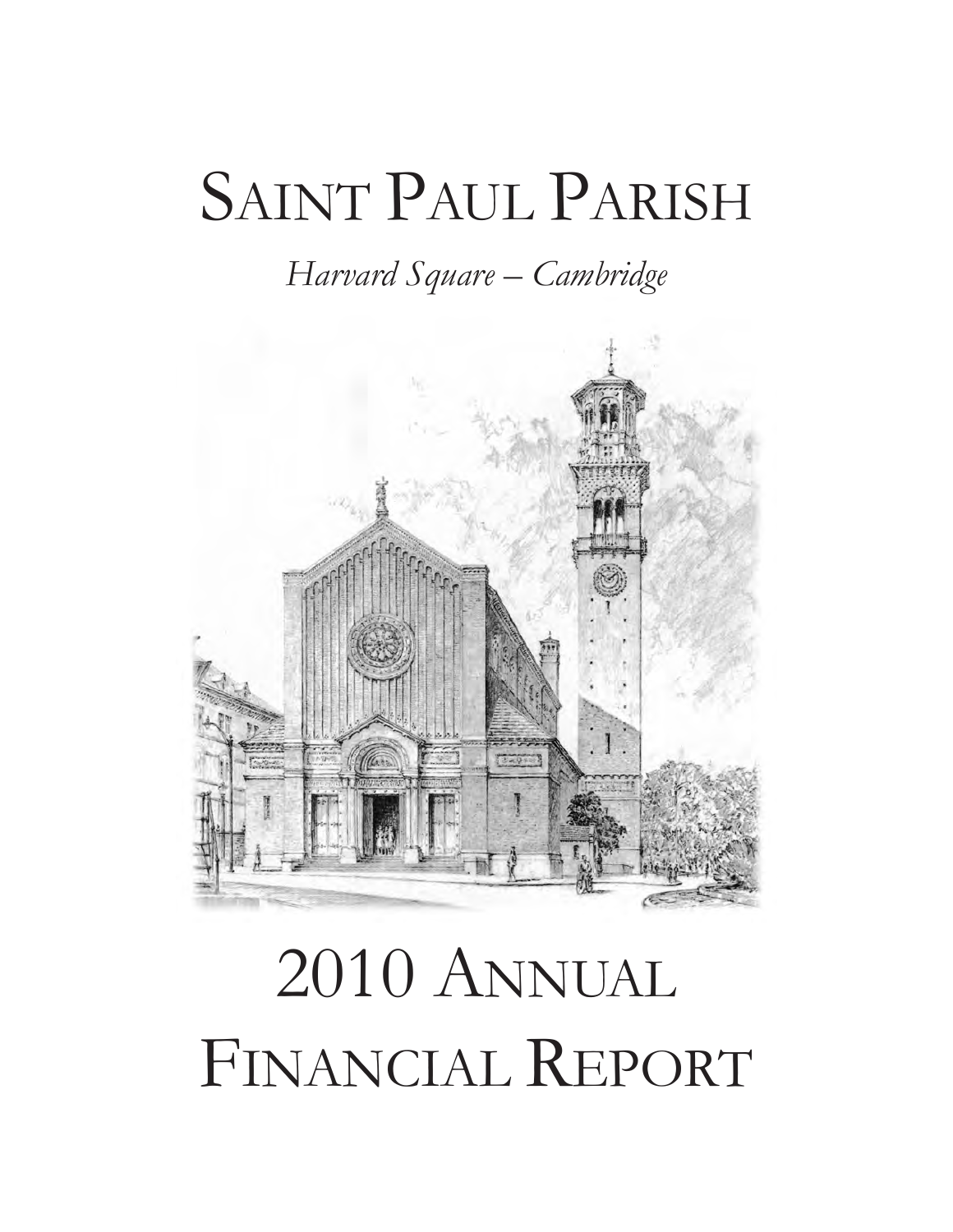## SAINT PAUL PARISH

*Harvard Square – Cambridge*



## 2010 ANNUAL FINANCIAL REPORT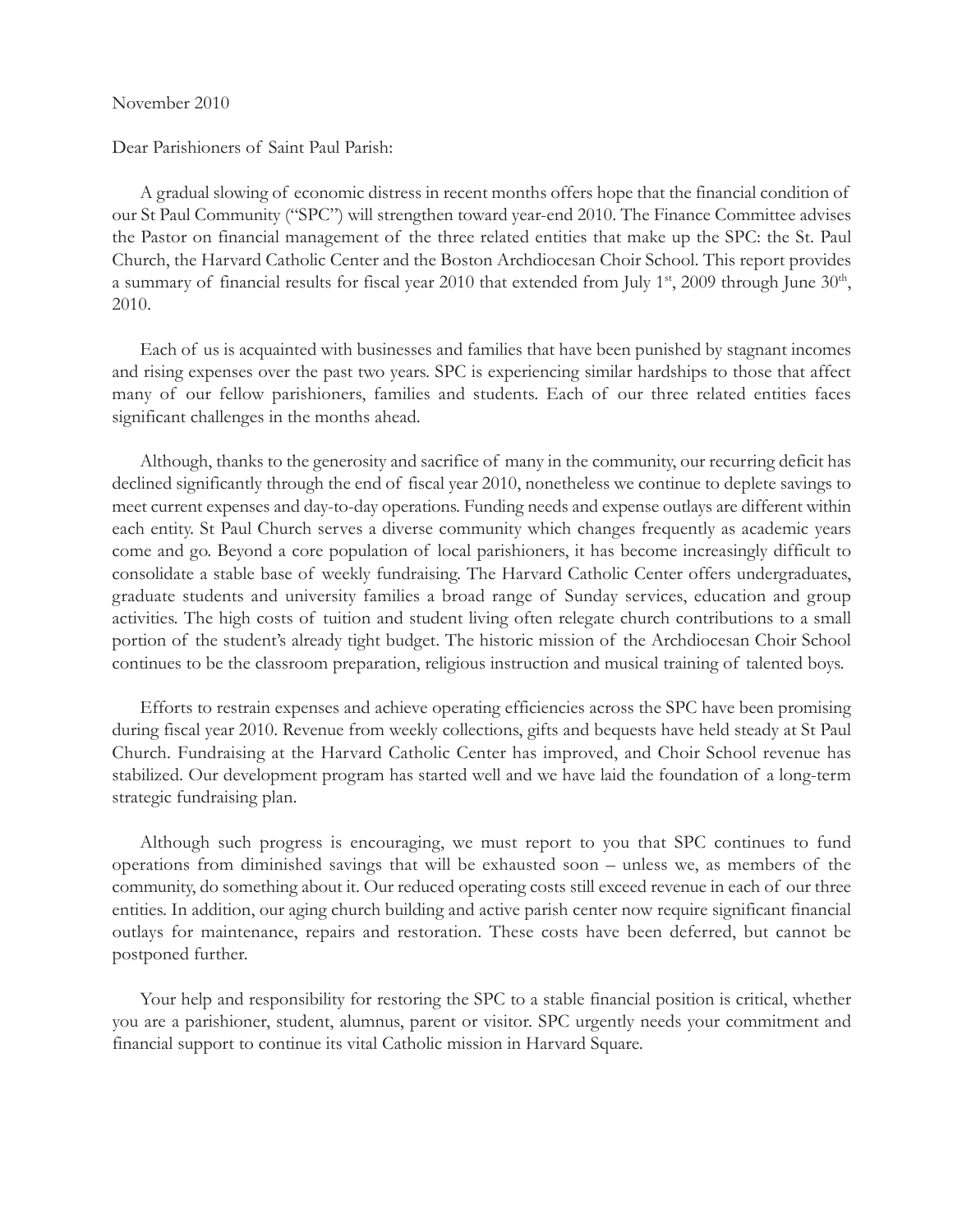## November 2010

Dear Parishioners of Saint Paul Parish:

A gradual slowing of economic distress in recent months offers hope that the financial condition of our St Paul Community ("SPC") will strengthen toward year-end 2010. The Finance Committee advises the Pastor on financial management of the three related entities that make up the SPC: the St. Paul Church, the Harvard Catholic Center and the Boston Archdiocesan Choir School. This report provides a summary of financial results for fiscal year 2010 that extended from July 1<sup>st</sup>, 2009 through June  $30<sup>th</sup>$ , 2010.

Each of us is acquainted with businesses and families that have been punished by stagnant incomes and rising expenses over the past two years. SPC is experiencing similar hardships to those that affect many of our fellow parishioners, families and students. Each of our three related entities faces significant challenges in the months ahead.

Although, thanks to the generosity and sacrifice of many in the community, our recurring deficit has declined significantly through the end of fiscal year 2010, nonetheless we continue to deplete savings to meet current expenses and day-to-day operations. Funding needs and expense outlays are different within each entity. St Paul Church serves a diverse community which changes frequently as academic years come and go. Beyond a core population of local parishioners, it has become increasingly difficult to consolidate a stable base of weekly fundraising. The Harvard Catholic Center offers undergraduates, graduate students and university families a broad range of Sunday services, education and group activities. The high costs of tuition and student living often relegate church contributions to a small portion of the student's already tight budget. The historic mission of the Archdiocesan Choir School continues to be the classroom preparation, religious instruction and musical training of talented boys.

Efforts to restrain expenses and achieve operating efficiencies across the SPC have been promising during fiscal year 2010. Revenue from weekly collections, gifts and bequests have held steady at St Paul Church. Fundraising at the Harvard Catholic Center has improved, and Choir School revenue has stabilized. Our development program has started well and we have laid the foundation of a long-term strategic fundraising plan.

Although such progress is encouraging, we must report to you that SPC continues to fund operations from diminished savings that will be exhausted soon – unless we, as members of the community, do something about it. Our reduced operating costs still exceed revenue in each of our three entities. In addition, our aging church building and active parish center now require significant financial outlays for maintenance, repairs and restoration. These costs have been deferred, but cannot be postponed further.

Your help and responsibility for restoring the SPC to a stable financial position is critical, whether you are a parishioner, student, alumnus, parent or visitor. SPC urgently needs your commitment and financial support to continue its vital Catholic mission in Harvard Square.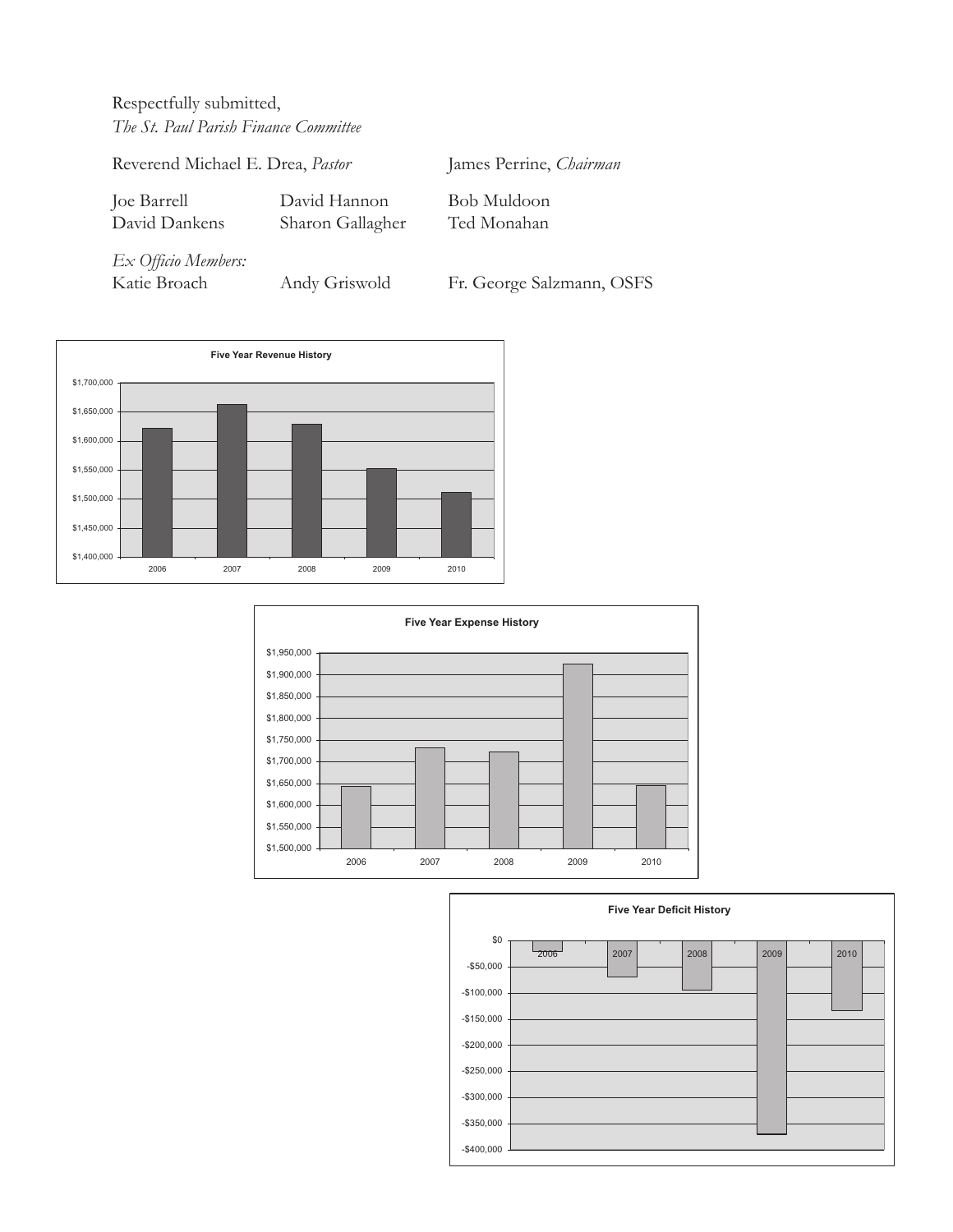Respectfully submitted, *The St. Paul Parish Finance Committee*

Reverend Michael E. Drea, *Pastor* James Perrine, *Chairman* Joe Barrell David Hannon Bob Muldoon David Dankens Sharon Gallagher Ted Monahan *Ex Officio Members:* Katie Broach Andy Griswold Fr. George Salzmann, OSFS